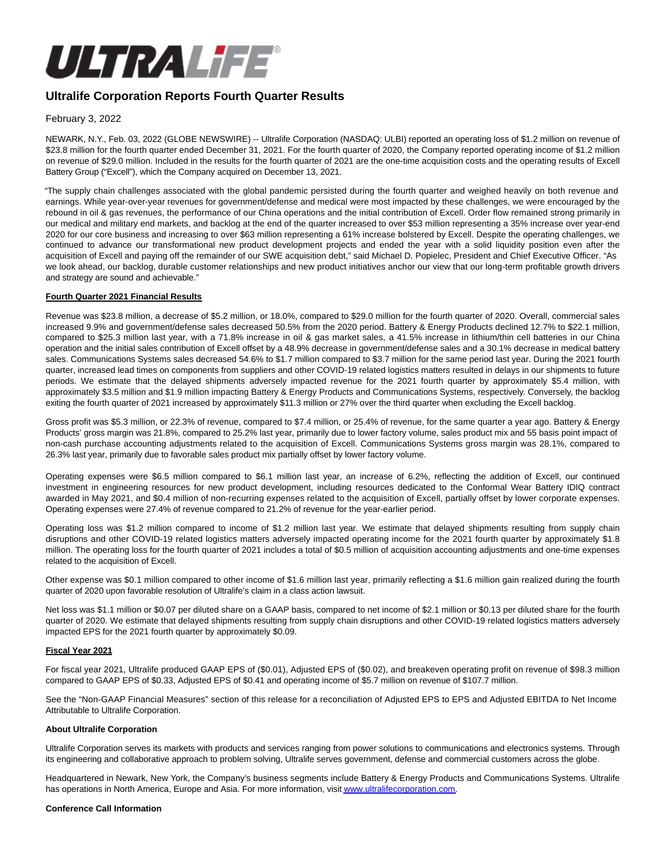

# **Ultralife Corporation Reports Fourth Quarter Results**

February 3, 2022

NEWARK, N.Y., Feb. 03, 2022 (GLOBE NEWSWIRE) -- Ultralife Corporation (NASDAQ: ULBI) reported an operating loss of \$1.2 million on revenue of \$23.8 million for the fourth quarter ended December 31, 2021. For the fourth quarter of 2020, the Company reported operating income of \$1.2 million on revenue of \$29.0 million. Included in the results for the fourth quarter of 2021 are the one-time acquisition costs and the operating results of Excell Battery Group ("Excell"), which the Company acquired on December 13, 2021.

"The supply chain challenges associated with the global pandemic persisted during the fourth quarter and weighed heavily on both revenue and earnings. While year-over-year revenues for government/defense and medical were most impacted by these challenges, we were encouraged by the rebound in oil & gas revenues, the performance of our China operations and the initial contribution of Excell. Order flow remained strong primarily in our medical and military end markets, and backlog at the end of the quarter increased to over \$53 million representing a 35% increase over year-end 2020 for our core business and increasing to over \$63 million representing a 61% increase bolstered by Excell. Despite the operating challenges, we continued to advance our transformational new product development projects and ended the year with a solid liquidity position even after the acquisition of Excell and paying off the remainder of our SWE acquisition debt," said Michael D. Popielec, President and Chief Executive Officer. "As we look ahead, our backlog, durable customer relationships and new product initiatives anchor our view that our long-term profitable growth drivers and strategy are sound and achievable."

#### **Fourth Quarter 2021 Financial Results**

Revenue was \$23.8 million, a decrease of \$5.2 million, or 18.0%, compared to \$29.0 million for the fourth quarter of 2020. Overall, commercial sales increased 9.9% and government/defense sales decreased 50.5% from the 2020 period. Battery & Energy Products declined 12.7% to \$22.1 million, compared to \$25.3 million last year, with a 71.8% increase in oil & gas market sales, a 41.5% increase in lithium/thin cell batteries in our China operation and the initial sales contribution of Excell offset by a 48.9% decrease in government/defense sales and a 30.1% decrease in medical battery sales. Communications Systems sales decreased 54.6% to \$1.7 million compared to \$3.7 million for the same period last year. During the 2021 fourth quarter, increased lead times on components from suppliers and other COVID-19 related logistics matters resulted in delays in our shipments to future periods. We estimate that the delayed shipments adversely impacted revenue for the 2021 fourth quarter by approximately \$5.4 million, with approximately \$3.5 million and \$1.9 million impacting Battery & Energy Products and Communications Systems, respectively. Conversely, the backlog exiting the fourth quarter of 2021 increased by approximately \$11.3 million or 27% over the third quarter when excluding the Excell backlog.

Gross profit was \$5.3 million, or 22.3% of revenue, compared to \$7.4 million, or 25.4% of revenue, for the same quarter a year ago. Battery & Energy Products' gross margin was 21.8%, compared to 25.2% last year, primarily due to lower factory volume, sales product mix and 55 basis point impact of non-cash purchase accounting adjustments related to the acquisition of Excell. Communications Systems gross margin was 28.1%, compared to 26.3% last year, primarily due to favorable sales product mix partially offset by lower factory volume.

Operating expenses were \$6.5 million compared to \$6.1 million last year, an increase of 6.2%, reflecting the addition of Excell, our continued investment in engineering resources for new product development, including resources dedicated to the Conformal Wear Battery IDIQ contract awarded in May 2021, and \$0.4 million of non-recurring expenses related to the acquisition of Excell, partially offset by lower corporate expenses. Operating expenses were 27.4% of revenue compared to 21.2% of revenue for the year-earlier period.

Operating loss was \$1.2 million compared to income of \$1.2 million last year. We estimate that delayed shipments resulting from supply chain disruptions and other COVID-19 related logistics matters adversely impacted operating income for the 2021 fourth quarter by approximately \$1.8 million. The operating loss for the fourth quarter of 2021 includes a total of \$0.5 million of acquisition accounting adjustments and one-time expenses related to the acquisition of Excell.

Other expense was \$0.1 million compared to other income of \$1.6 million last year, primarily reflecting a \$1.6 million gain realized during the fourth quarter of 2020 upon favorable resolution of Ultralife's claim in a class action lawsuit.

Net loss was \$1.1 million or \$0.07 per diluted share on a GAAP basis, compared to net income of \$2.1 million or \$0.13 per diluted share for the fourth quarter of 2020. We estimate that delayed shipments resulting from supply chain disruptions and other COVID-19 related logistics matters adversely impacted EPS for the 2021 fourth quarter by approximately \$0.09.

#### **Fiscal Year 2021**

For fiscal year 2021, Ultralife produced GAAP EPS of (\$0.01), Adjusted EPS of (\$0.02), and breakeven operating profit on revenue of \$98.3 million compared to GAAP EPS of \$0.33, Adjusted EPS of \$0.41 and operating income of \$5.7 million on revenue of \$107.7 million.

See the "Non-GAAP Financial Measures" section of this release for a reconciliation of Adjusted EPS to EPS and Adjusted EBITDA to Net Income Attributable to Ultralife Corporation.

#### **About Ultralife Corporation**

Ultralife Corporation serves its markets with products and services ranging from power solutions to communications and electronics systems. Through its engineering and collaborative approach to problem solving, Ultralife serves government, defense and commercial customers across the globe.

Headquartered in Newark, New York, the Company's business segments include Battery & Energy Products and Communications Systems. Ultralife has operations in North America, Europe and Asia. For more information, visi[t www.ultralifecorporation.com.](https://www.globenewswire.com/Tracker?data=Ab9Z6wbOR8VmM8YG7qOn-SgSLTH2sd0wtmC0R56d6Kn7DN_om7xlJberUBfWz1BNODuA_oVM8EWV429HckCcn3u14itvmHYz_35X_wazSg2aqfeU0SFnQysNSYLnzvXv)

#### **Conference Call Information**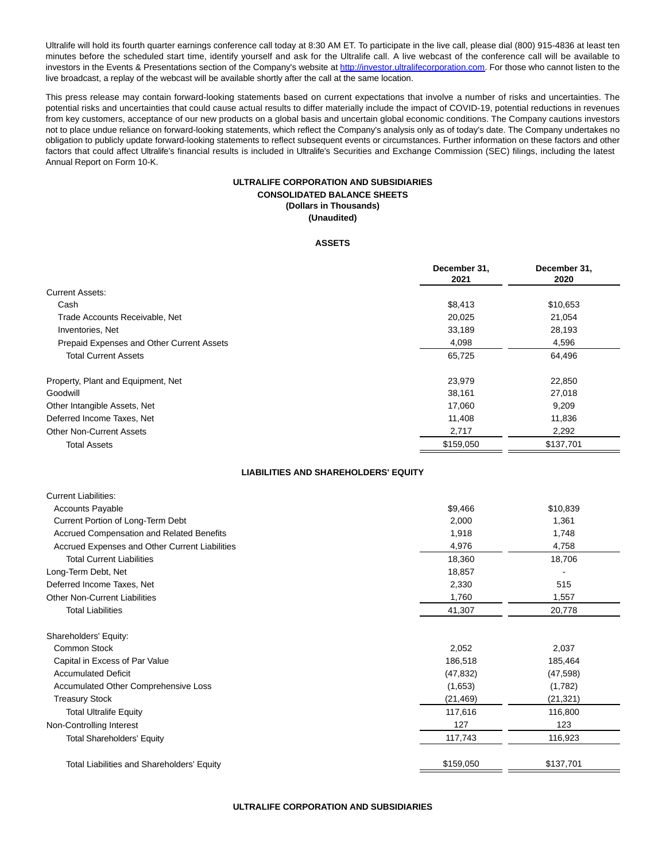Ultralife will hold its fourth quarter earnings conference call today at 8:30 AM ET. To participate in the live call, please dial (800) 915-4836 at least ten minutes before the scheduled start time, identify yourself and ask for the Ultralife call. A live webcast of the conference call will be available to investors in the Events & Presentations section of the Company's website at [http://investor.ultralifecorporation.com.](https://www.globenewswire.com/Tracker?data=Kkiyil1ve1-HVD-aqOr_zP1_6erysl5NBtemzZyR2ULSngNiqeE1hiI6B2S-6qXlSzlLx_t3KBX1cNsx96RKS7y559Qel-BmdDJg5skg4Gnt2xp7bEFWmn3-vFYX3kQAFgD66LVMwvj-xb7jCEUJ9g==) For those who cannot listen to the live broadcast, a replay of the webcast will be available shortly after the call at the same location.

This press release may contain forward-looking statements based on current expectations that involve a number of risks and uncertainties. The potential risks and uncertainties that could cause actual results to differ materially include the impact of COVID-19, potential reductions in revenues from key customers, acceptance of our new products on a global basis and uncertain global economic conditions. The Company cautions investors not to place undue reliance on forward-looking statements, which reflect the Company's analysis only as of today's date. The Company undertakes no obligation to publicly update forward-looking statements to reflect subsequent events or circumstances. Further information on these factors and other factors that could affect Ultralife's financial results is included in Ultralife's Securities and Exchange Commission (SEC) filings, including the latest Annual Report on Form 10-K.

### **ULTRALIFE CORPORATION AND SUBSIDIARIES CONSOLIDATED BALANCE SHEETS (Dollars in Thousands) (Unaudited)**

#### **ASSETS**

|                                                  | December 31,<br>2021 | December 31,<br>2020 |
|--------------------------------------------------|----------------------|----------------------|
| <b>Current Assets:</b>                           |                      |                      |
| Cash                                             | \$8,413              | \$10,653             |
| Trade Accounts Receivable, Net                   | 20,025               | 21,054               |
| Inventories, Net                                 | 33,189               | 28,193               |
| <b>Prepaid Expenses and Other Current Assets</b> | 4,098                | 4,596                |
| <b>Total Current Assets</b>                      | 65,725               | 64,496               |
| Property, Plant and Equipment, Net               | 23,979               | 22,850               |
| Goodwill                                         | 38,161               | 27,018               |
| Other Intangible Assets, Net                     | 17,060               | 9,209                |
| Deferred Income Taxes, Net                       | 11,408               | 11,836               |
| <b>Other Non-Current Assets</b>                  | 2,717                | 2,292                |
| <b>Total Assets</b>                              | \$159,050            | \$137,701            |

### **LIABILITIES AND SHAREHOLDERS' EQUITY**

Current Liabilities:

| Gurrent Liabilities.                              |           |           |
|---------------------------------------------------|-----------|-----------|
| <b>Accounts Payable</b>                           | \$9,466   | \$10,839  |
| Current Portion of Long-Term Debt                 | 2,000     | 1,361     |
| Accrued Compensation and Related Benefits         | 1,918     | 1,748     |
| Accrued Expenses and Other Current Liabilities    | 4,976     | 4,758     |
| <b>Total Current Liabilities</b>                  | 18,360    | 18,706    |
| Long-Term Debt, Net                               | 18,857    |           |
| Deferred Income Taxes, Net                        | 2,330     | 515       |
| <b>Other Non-Current Liabilities</b>              | 1,760     | 1,557     |
| <b>Total Liabilities</b>                          | 41,307    | 20,778    |
| Shareholders' Equity:                             |           |           |
| Common Stock                                      | 2,052     | 2,037     |
| Capital in Excess of Par Value                    | 186,518   | 185,464   |
| <b>Accumulated Deficit</b>                        | (47, 832) | (47, 598) |
| Accumulated Other Comprehensive Loss              | (1,653)   | (1,782)   |
| <b>Treasury Stock</b>                             | (21, 469) | (21, 321) |
| <b>Total Ultralife Equity</b>                     | 117,616   | 116,800   |
| Non-Controlling Interest                          | 127       | 123       |
| <b>Total Shareholders' Equity</b>                 | 117,743   | 116,923   |
| <b>Total Liabilities and Shareholders' Equity</b> | \$159,050 | \$137,701 |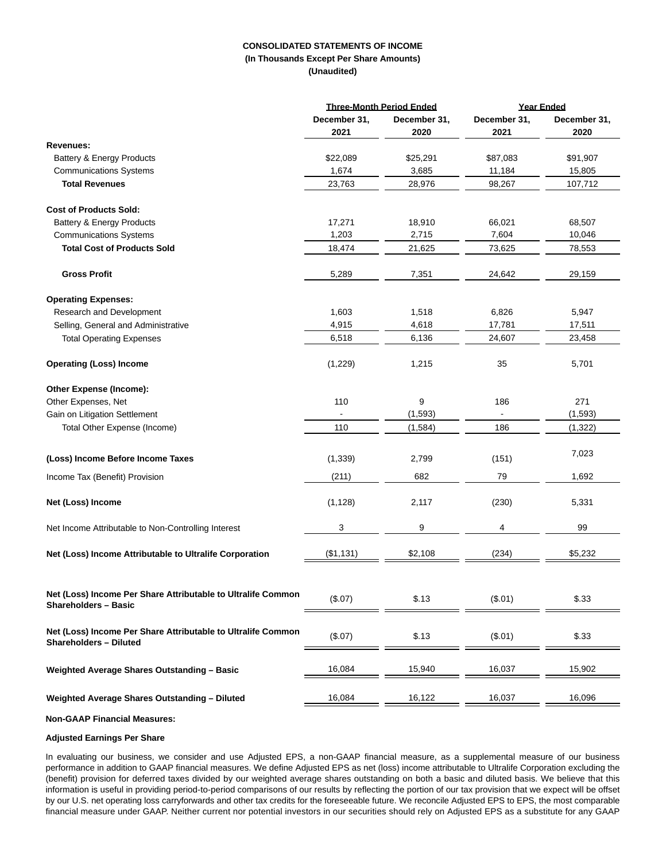# **CONSOLIDATED STATEMENTS OF INCOME (In Thousands Except Per Share Amounts)**

**(Unaudited)**

|                                                                                               |              | <b>Three-Month Period Ended</b> |              | <b>Year Ended</b> |
|-----------------------------------------------------------------------------------------------|--------------|---------------------------------|--------------|-------------------|
|                                                                                               | December 31, | December 31,                    | December 31, | December 31,      |
|                                                                                               | 2021         | 2020                            | 2021         | 2020              |
| <b>Revenues:</b>                                                                              |              |                                 |              |                   |
| Battery & Energy Products                                                                     | \$22,089     | \$25,291                        | \$87,083     | \$91,907          |
| <b>Communications Systems</b>                                                                 | 1,674        | 3,685                           | 11,184       | 15,805            |
| <b>Total Revenues</b>                                                                         | 23,763       | 28,976                          | 98,267       | 107,712           |
| <b>Cost of Products Sold:</b>                                                                 |              |                                 |              |                   |
| Battery & Energy Products                                                                     | 17,271       | 18,910                          | 66,021       | 68,507            |
| <b>Communications Systems</b>                                                                 | 1,203        | 2,715                           | 7,604        | 10,046            |
| <b>Total Cost of Products Sold</b>                                                            | 18,474       | 21,625                          | 73,625       | 78,553            |
| <b>Gross Profit</b>                                                                           | 5,289        | 7,351                           | 24,642       | 29,159            |
| <b>Operating Expenses:</b>                                                                    |              |                                 |              |                   |
| Research and Development                                                                      | 1,603        | 1,518                           | 6,826        | 5,947             |
| Selling, General and Administrative                                                           | 4,915        | 4,618                           | 17,781       | 17,511            |
| <b>Total Operating Expenses</b>                                                               | 6,518        | 6,136                           | 24,607       | 23,458            |
| <b>Operating (Loss) Income</b>                                                                | (1,229)      | 1,215                           | 35           | 5,701             |
| Other Expense (Income):                                                                       |              |                                 |              |                   |
| Other Expenses, Net                                                                           | 110          | 9                               | 186          | 271               |
| Gain on Litigation Settlement                                                                 |              | (1, 593)                        |              | (1, 593)          |
| Total Other Expense (Income)                                                                  | 110          | (1,584)                         | 186          | (1, 322)          |
| (Loss) Income Before Income Taxes                                                             | (1, 339)     | 2,799                           | (151)        | 7,023             |
| Income Tax (Benefit) Provision                                                                | (211)        | 682                             | 79           | 1,692             |
| Net (Loss) Income                                                                             | (1, 128)     | 2,117                           | (230)        | 5,331             |
| Net Income Attributable to Non-Controlling Interest                                           | 3            | 9                               | 4            | 99                |
| Net (Loss) Income Attributable to Ultralife Corporation                                       | (\$1,131)    | \$2,108                         | (234)        | \$5,232           |
|                                                                                               |              |                                 |              |                   |
| Net (Loss) Income Per Share Attributable to Ultralife Common<br><b>Shareholders - Basic</b>   | (\$.07)      | \$.13                           | (\$.01)      | \$.33             |
| Net (Loss) Income Per Share Attributable to Ultralife Common<br><b>Shareholders - Diluted</b> | (\$.07)      | \$.13                           | (\$.01)      | \$.33             |
| Weighted Average Shares Outstanding - Basic                                                   | 16,084       | 15,940                          | 16,037       | 15,902            |
| Weighted Average Shares Outstanding - Diluted                                                 | 16,084       | 16,122                          | 16,037       | 16,096            |
|                                                                                               |              |                                 |              |                   |

**Non-GAAP Financial Measures:**

#### **Adjusted Earnings Per Share**

In evaluating our business, we consider and use Adjusted EPS, a non-GAAP financial measure, as a supplemental measure of our business performance in addition to GAAP financial measures. We define Adjusted EPS as net (loss) income attributable to Ultralife Corporation excluding the (benefit) provision for deferred taxes divided by our weighted average shares outstanding on both a basic and diluted basis. We believe that this information is useful in providing period-to-period comparisons of our results by reflecting the portion of our tax provision that we expect will be offset by our U.S. net operating loss carryforwards and other tax credits for the foreseeable future. We reconcile Adjusted EPS to EPS, the most comparable financial measure under GAAP. Neither current nor potential investors in our securities should rely on Adjusted EPS as a substitute for any GAAP